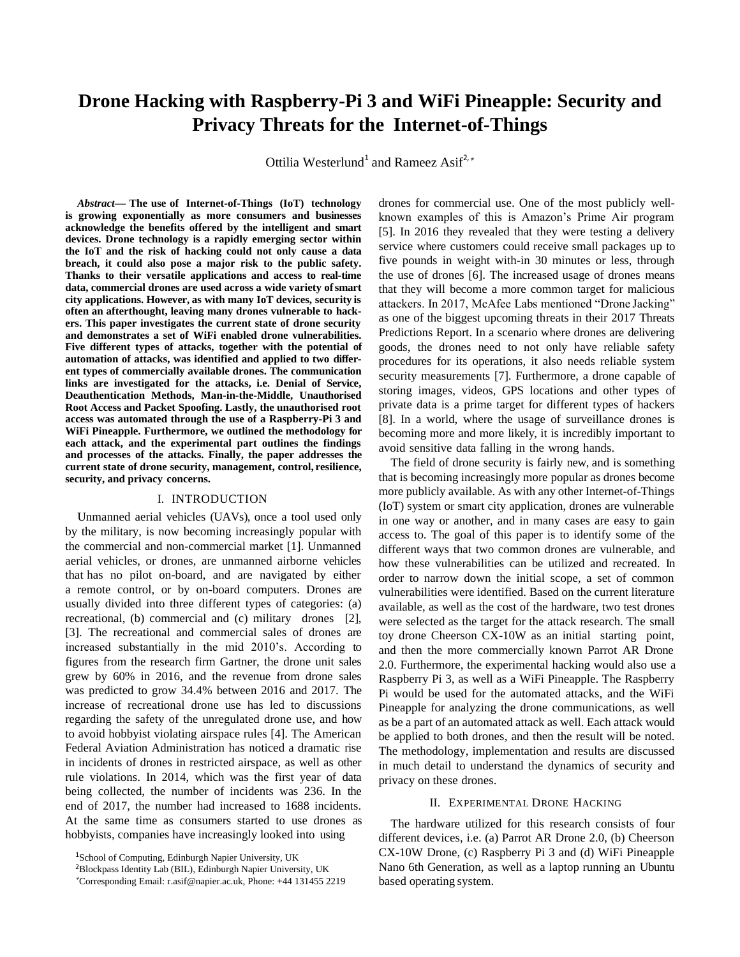# **Drone Hacking with Raspberry-Pi 3 and WiFi Pineapple: Security and Privacy Threats for the Internet-of-Things**

Ottilia Westerlund<sup>1</sup> and Rameez Asif<sup>2,∗</sup>

*Abstract***— The use of Internet-of-Things (IoT) technology is growing exponentially as more consumers and businesses acknowledge the benefits offered by the intelligent and smart devices. Drone technology is a rapidly emerging sector within the IoT and the risk of hacking could not only cause a data breach, it could also pose a major risk to the public safety. Thanks to their versatile applications and access to real-time data, commercial drones are used across a wide variety ofsmart city applications. However, as with many IoT devices, security is often an afterthought, leaving many drones vulnerable to hackers. This paper investigates the current state of drone security and demonstrates a set of WiFi enabled drone vulnerabilities. Five different types of attacks, together with the potential of automation of attacks, was identified and applied to two different types of commercially available drones. The communication links are investigated for the attacks, i.e. Denial of Service, Deauthentication Methods, Man-in-the-Middle, Unauthorised Root Access and Packet Spoofing. Lastly, the unauthorised root access was automated through the use of a Raspberry-Pi 3 and WiFi Pineapple. Furthermore, we outlined the methodology for each attack, and the experimental part outlines the findings and processes of the attacks. Finally, the paper addresses the current state of drone security, management, control, resilience, security, and privacy concerns.**

### I. INTRODUCTION

Unmanned aerial vehicles (UAVs), once a tool used only by the military, is now becoming increasingly popular with the commercial and non-commercial market [1]. Unmanned aerial vehicles, or drones, are unmanned airborne vehicles that has no pilot on-board, and are navigated by either a remote control, or by on-board computers. Drones are usually divided into three different types of categories: (a) recreational, (b) commercial and (c) military drones [2], [3]. The recreational and commercial sales of drones are increased substantially in the mid 2010's. According to figures from the research firm Gartner, the drone unit sales grew by 60% in 2016, and the revenue from drone sales was predicted to grow 34.4% between 2016 and 2017. The increase of recreational drone use has led to discussions regarding the safety of the unregulated drone use, and how to avoid hobbyist violating airspace rules [4]. The American Federal Aviation Administration has noticed a dramatic rise in incidents of drones in restricted airspace, as well as other rule violations. In 2014, which was the first year of data being collected, the number of incidents was 236. In the end of 2017, the number had increased to 1688 incidents. At the same time as consumers started to use drones as hobbyists, companies have increasingly looked into using

<sup>2</sup>Blockpass Identity Lab (BIL), Edinburgh Napier University, UK

drones for commercial use. One of the most publicly wellknown examples of this is Amazon's Prime Air program [5]. In 2016 they revealed that they were testing a delivery service where customers could receive small packages up to five pounds in weight with-in 30 minutes or less, through the use of drones [6]. The increased usage of drones means that they will become a more common target for malicious attackers. In 2017, McAfee Labs mentioned "Drone Jacking" as one of the biggest upcoming threats in their 2017 Threats Predictions Report. In a scenario where drones are delivering goods, the drones need to not only have reliable safety procedures for its operations, it also needs reliable system security measurements [7]. Furthermore, a drone capable of storing images, videos, GPS locations and other types of private data is a prime target for different types of hackers [8]. In a world, where the usage of surveillance drones is becoming more and more likely, it is incredibly important to avoid sensitive data falling in the wrong hands.

The field of drone security is fairly new, and is something that is becoming increasingly more popular as drones become more publicly available. As with any other Internet-of-Things (IoT) system or smart city application, drones are vulnerable in one way or another, and in many cases are easy to gain access to. The goal of this paper is to identify some of the different ways that two common drones are vulnerable, and how these vulnerabilities can be utilized and recreated. In order to narrow down the initial scope, a set of common vulnerabilities were identified. Based on the current literature available, as well as the cost of the hardware, two test drones were selected as the target for the attack research. The small toy drone Cheerson CX-10W as an initial starting point, and then the more commercially known Parrot AR Drone 2.0. Furthermore, the experimental hacking would also use a Raspberry Pi 3, as well as a WiFi Pineapple. The Raspberry Pi would be used for the automated attacks, and the WiFi Pineapple for analyzing the drone communications, as well as be a part of an automated attack as well. Each attack would be applied to both drones, and then the result will be noted. The methodology, implementation and results are discussed in much detail to understand the dynamics of security and privacy on these drones.

### II. EXPERIMENTAL DRONE HACKING

The hardware utilized for this research consists of four different devices, i.e. (a) Parrot AR Drone 2.0, (b) Cheerson CX-10W Drone, (c) Raspberry Pi 3 and (d) WiFi Pineapple Nano 6th Generation, as well as a laptop running an Ubuntu based operating system.

<sup>&</sup>lt;sup>1</sup>School of Computing, Edinburgh Napier University, UK

<sup>∗</sup>Corresponding Email[: r.asif@napier.ac.uk,](mailto:r.asif@napier.ac.uk) Phone: +44 131455 2219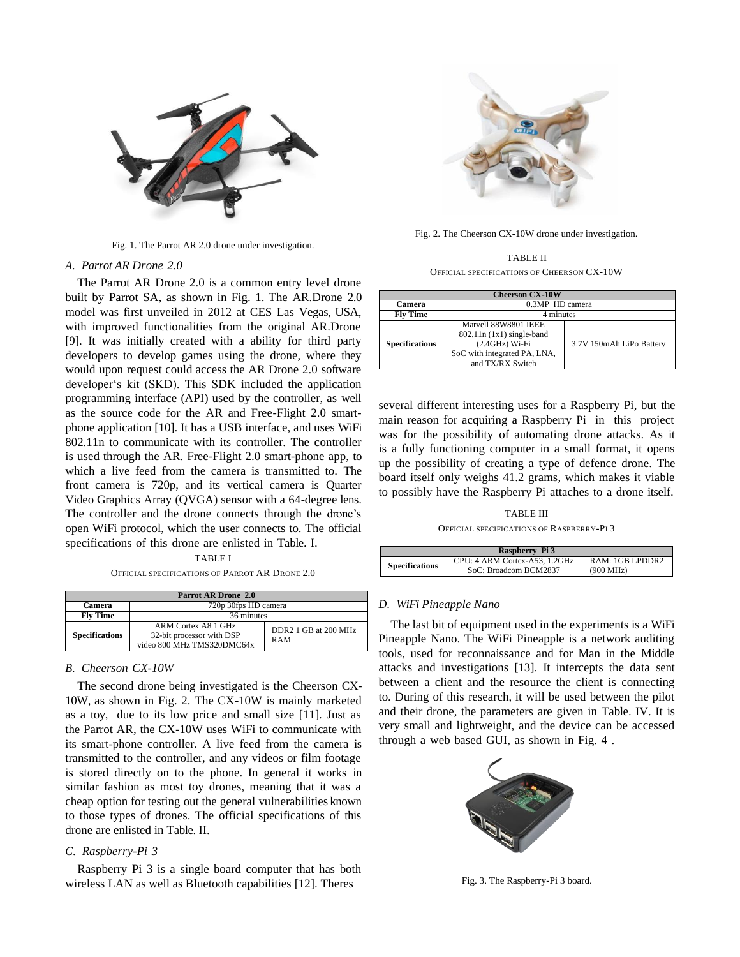

Fig. 1. The Parrot AR 2.0 drone under investigation.

### *A. Parrot AR Drone 2.0*

The Parrot AR Drone 2.0 is a common entry level drone built by Parrot SA, as shown in Fig. 1. The AR.Drone 2.0 model was first unveiled in 2012 at CES Las Vegas, USA, with improved functionalities from the original AR.Drone [9]. It was initially created with a ability for third party developers to develop games using the drone, where they would upon request could access the AR Drone 2.0 software developer's kit (SKD). This SDK included the application programming interface (API) used by the controller, as well as the source code for the AR and Free-Flight 2.0 smartphone application [10]. It has a USB interface, and uses WiFi 802.11n to communicate with its controller. The controller is used through the AR. Free-Flight 2.0 smart-phone app, to which a live feed from the camera is transmitted to. The front camera is 720p, and its vertical camera is Quarter Video Graphics Array (QVGA) sensor with a 64-degree lens. The controller and the drone connects through the drone's open WiFi protocol, which the user connects to. The official specifications of this drone are enlisted in Table. I.

TABLE I OFFICIAL SPECIFICATIONS OF PARROT AR DRONE 2.0

| <b>Parrot AR Drone 2.0</b> |                                                                                |                                    |  |  |  |  |  |
|----------------------------|--------------------------------------------------------------------------------|------------------------------------|--|--|--|--|--|
| Camera                     | 720p 30fps HD camera                                                           |                                    |  |  |  |  |  |
| <b>Fly Time</b>            | 36 minutes                                                                     |                                    |  |  |  |  |  |
| <b>Specifications</b>      | ARM Cortex A8 1 GHz<br>32-bit processor with DSP<br>video 800 MHz TMS320DMC64x | DDR2 1 GB at 200 MHz<br><b>RAM</b> |  |  |  |  |  |

### *B. Cheerson CX-10W*

The second drone being investigated is the Cheerson CX-10W, as shown in Fig. 2. The CX-10W is mainly marketed as a toy, due to its low price and small size [11]. Just as the Parrot AR, the CX-10W uses WiFi to communicate with its smart-phone controller. A live feed from the camera is transmitted to the controller, and any videos or film footage is stored directly on to the phone. In general it works in similar fashion as most toy drones, meaning that it was a cheap option for testing out the general vulnerabilities known to those types of drones. The official specifications of this drone are enlisted in Table. II.

# *C. Raspberry-Pi 3*

Raspberry Pi 3 is a single board computer that has both wireless LAN as well as Bluetooth capabilities [12]. Theres



Fig. 2. The Cheerson CX-10W drone under investigation.

TABLE II OFFICIAL SPECIFICATIONS OF CHEERSON CX-10W

| <b>Cheerson CX-10W</b> |                                                                                                                             |                          |  |  |  |  |  |  |
|------------------------|-----------------------------------------------------------------------------------------------------------------------------|--------------------------|--|--|--|--|--|--|
| Camera                 | 0.3MP HD camera                                                                                                             |                          |  |  |  |  |  |  |
| <b>Fly Time</b>        | 4 minutes                                                                                                                   |                          |  |  |  |  |  |  |
| <b>Specifications</b>  | Marvell 88W8801 IEEE<br>$802.11n (1x1) single-band$<br>$(2.4GHz) Wi-Fi$<br>SoC with integrated PA, LNA,<br>and TX/RX Switch | 3.7V 150mAh LiPo Battery |  |  |  |  |  |  |

several different interesting uses for a Raspberry Pi, but the main reason for acquiring a Raspberry Pi in this project was for the possibility of automating drone attacks. As it is a fully functioning computer in a small format, it opens up the possibility of creating a type of defence drone. The board itself only weighs 41.2 grams, which makes it viable to possibly have the Raspberry Pi attaches to a drone itself.

# TABLE III

OFFICIAL SPECIFICATIONS OF RASPBERRY-PI 3

| Raspberry Pi 3        |                               |                     |  |  |  |  |  |
|-----------------------|-------------------------------|---------------------|--|--|--|--|--|
| <b>Specifications</b> | CPU: 4 ARM Cortex-A53, 1.2GHz | RAM: 1GB LPDDR2     |  |  |  |  |  |
|                       | SoC: Broadcom BCM2837         | $(900 \text{ MHz})$ |  |  |  |  |  |

# *D. WiFi Pineapple Nano*

The last bit of equipment used in the experiments is a WiFi Pineapple Nano. The WiFi Pineapple is a network auditing tools, used for reconnaissance and for Man in the Middle attacks and investigations [13]. It intercepts the data sent between a client and the resource the client is connecting to. During of this research, it will be used between the pilot and their drone, the parameters are given in Table. IV. It is very small and lightweight, and the device can be accessed through a web based GUI, as shown in Fig. 4 .



Fig. 3. The Raspberry-Pi 3 board.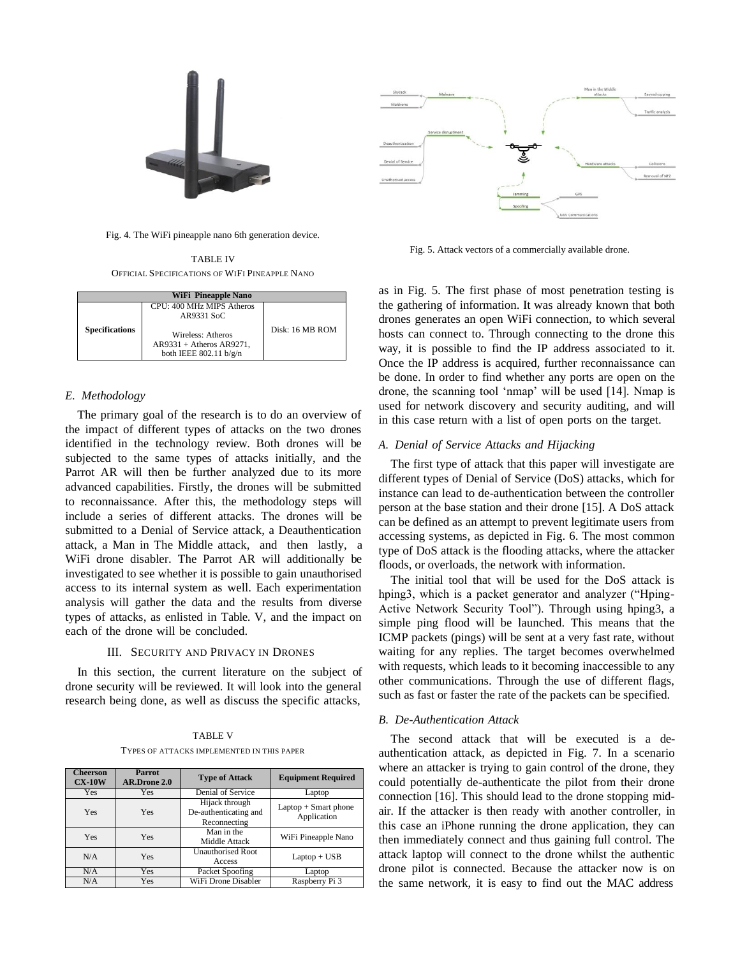

Fig. 4. The WiFi pineapple nano 6th generation device.

TABLE IV OFFICIAL SPECIFICATIONS OF WIFI PINEAPPLE NANO

| <b>WiFi Pineapple Nano</b> |                                                                                 |                 |  |  |  |  |  |  |
|----------------------------|---------------------------------------------------------------------------------|-----------------|--|--|--|--|--|--|
|                            | CPU: 400 MHz MIPS Atheros<br>AR9331 SoC                                         |                 |  |  |  |  |  |  |
| <b>Specifications</b>      | Wireless: Atheros<br>$AR9331 + A$ theros $AR9271$ ,<br>both IEEE $802.11 b/g/n$ | Disk: 16 MB ROM |  |  |  |  |  |  |

# *E. Methodology*

The primary goal of the research is to do an overview of the impact of different types of attacks on the two drones identified in the technology review. Both drones will be subjected to the same types of attacks initially, and the Parrot AR will then be further analyzed due to its more advanced capabilities. Firstly, the drones will be submitted to reconnaissance. After this, the methodology steps will include a series of different attacks. The drones will be submitted to a Denial of Service attack, a Deauthentication attack, a Man in The Middle attack, and then lastly, a WiFi drone disabler. The Parrot AR will additionally be investigated to see whether it is possible to gain unauthorised access to its internal system as well. Each experimentation analysis will gather the data and the results from diverse types of attacks, as enlisted in Table. V, and the impact on each of the drone will be concluded.

# III. SECURITY AND PRIVACY IN DRONES

In this section, the current literature on the subject of drone security will be reviewed. It will look into the general research being done, as well as discuss the specific attacks,

TABLE V TYPES OF ATTACKS IMPLEMENTED IN THIS PAPER

| Cheerson<br>$CX-10W$ | <b>Parrot</b><br><b>AR.Drone 2.0</b> | <b>Type of Attack</b>                                   | <b>Equipment Required</b>              |
|----------------------|--------------------------------------|---------------------------------------------------------|----------------------------------------|
| Yes                  | <b>Yes</b>                           | Denial of Service                                       | Laptop                                 |
| Yes                  | Yes                                  | Hijack through<br>De-authenticating and<br>Reconnecting | $L$ aptop + Smart phone<br>Application |
| Yes                  | Yes                                  | Man in the<br>Middle Attack                             | WiFi Pineapple Nano                    |
| N/A                  | Yes                                  | <b>Unauthorised Root</b><br>Access                      | $Laptop + USB$                         |
| N/A                  | <b>Yes</b>                           | Packet Spoofing                                         | Laptop                                 |
| N/A                  | Yes                                  | WiFi Drone Disabler                                     | Raspberry Pi 3                         |



Fig. 5. Attack vectors of a commercially available drone.

as in Fig. 5. The first phase of most penetration testing is the gathering of information. It was already known that both drones generates an open WiFi connection, to which several hosts can connect to. Through connecting to the drone this way, it is possible to find the IP address associated to it. Once the IP address is acquired, further reconnaissance can be done. In order to find whether any ports are open on the drone, the scanning tool 'nmap' will be used [14]. Nmap is used for network discovery and security auditing, and will in this case return with a list of open ports on the target.

# *A. Denial of Service Attacks and Hijacking*

The first type of attack that this paper will investigate are different types of Denial of Service (DoS) attacks, which for instance can lead to de-authentication between the controller person at the base station and their drone [15]. A DoS attack can be defined as an attempt to prevent legitimate users from accessing systems, as depicted in Fig. 6. The most common type of DoS attack is the flooding attacks, where the attacker floods, or overloads, the network with information.

The initial tool that will be used for the DoS attack is hping3, which is a packet generator and analyzer ("Hping-Active Network Security Tool"). Through using hping3, a simple ping flood will be launched. This means that the ICMP packets (pings) will be sent at a very fast rate, without waiting for any replies. The target becomes overwhelmed with requests, which leads to it becoming inaccessible to any other communications. Through the use of different flags, such as fast or faster the rate of the packets can be specified.

# *B. De-Authentication Attack*

The second attack that will be executed is a deauthentication attack, as depicted in Fig. 7. In a scenario where an attacker is trying to gain control of the drone, they could potentially de-authenticate the pilot from their drone connection [16]. This should lead to the drone stopping midair. If the attacker is then ready with another controller, in this case an iPhone running the drone application, they can then immediately connect and thus gaining full control. The attack laptop will connect to the drone whilst the authentic drone pilot is connected. Because the attacker now is on the same network, it is easy to find out the MAC address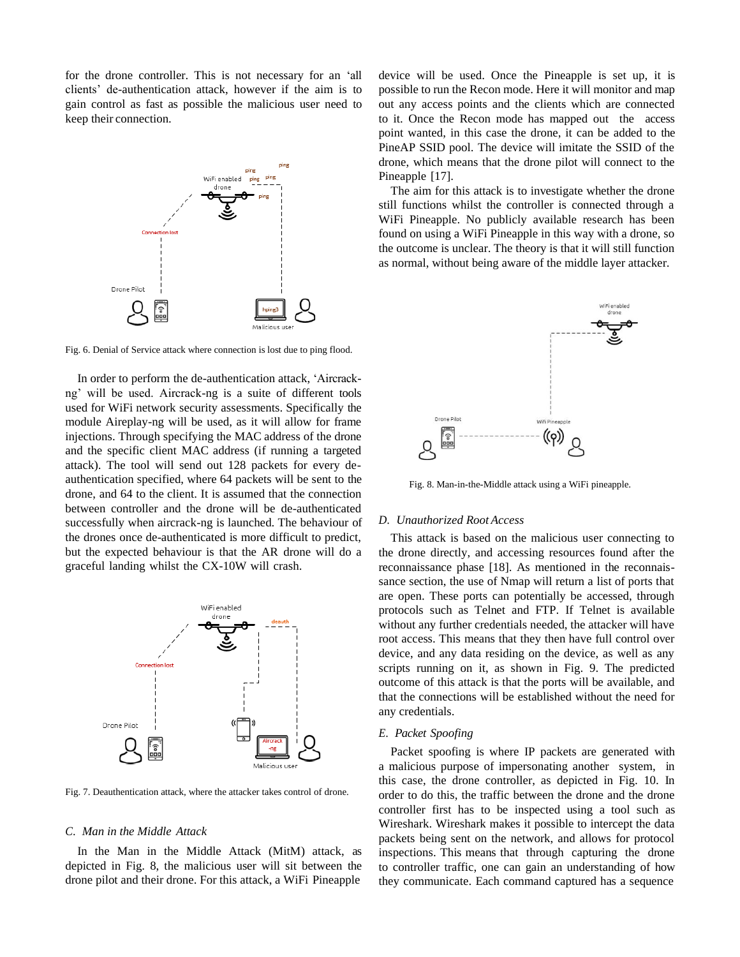for the drone controller. This is not necessary for an 'all clients' de-authentication attack, however if the aim is to gain control as fast as possible the malicious user need to keep their connection.



Fig. 6. Denial of Service attack where connection is lost due to ping flood.

In order to perform the de-authentication attack, 'Aircrackng' will be used. Aircrack-ng is a suite of different tools used for WiFi network security assessments. Specifically the module Aireplay-ng will be used, as it will allow for frame injections. Through specifying the MAC address of the drone and the specific client MAC address (if running a targeted attack). The tool will send out 128 packets for every deauthentication specified, where 64 packets will be sent to the drone, and 64 to the client. It is assumed that the connection between controller and the drone will be de-authenticated successfully when aircrack-ng is launched. The behaviour of the drones once de-authenticated is more difficult to predict, but the expected behaviour is that the AR drone will do a graceful landing whilst the CX-10W will crash.



Fig. 7. Deauthentication attack, where the attacker takes control of drone.

#### *C. Man in the Middle Attack*

In the Man in the Middle Attack (MitM) attack, as depicted in Fig. 8, the malicious user will sit between the drone pilot and their drone. For this attack, a WiFi Pineapple

device will be used. Once the Pineapple is set up, it is possible to run the Recon mode. Here it will monitor and map out any access points and the clients which are connected to it. Once the Recon mode has mapped out the access point wanted, in this case the drone, it can be added to the PineAP SSID pool. The device will imitate the SSID of the drone, which means that the drone pilot will connect to the Pineapple [17].

The aim for this attack is to investigate whether the drone still functions whilst the controller is connected through a WiFi Pineapple. No publicly available research has been found on using a WiFi Pineapple in this way with a drone, so the outcome is unclear. The theory is that it will still function as normal, without being aware of the middle layer attacker.



Fig. 8. Man-in-the-Middle attack using a WiFi pineapple.

# *D. Unauthorized Root Access*

This attack is based on the malicious user connecting to the drone directly, and accessing resources found after the reconnaissance phase [18]. As mentioned in the reconnaissance section, the use of Nmap will return a list of ports that are open. These ports can potentially be accessed, through protocols such as Telnet and FTP. If Telnet is available without any further credentials needed, the attacker will have root access. This means that they then have full control over device, and any data residing on the device, as well as any scripts running on it, as shown in Fig. 9. The predicted outcome of this attack is that the ports will be available, and that the connections will be established without the need for any credentials.

#### *E. Packet Spoofing*

Packet spoofing is where IP packets are generated with a malicious purpose of impersonating another system, in this case, the drone controller, as depicted in Fig. 10. In order to do this, the traffic between the drone and the drone controller first has to be inspected using a tool such as Wireshark. Wireshark makes it possible to intercept the data packets being sent on the network, and allows for protocol inspections. This means that through capturing the drone to controller traffic, one can gain an understanding of how they communicate. Each command captured has a sequence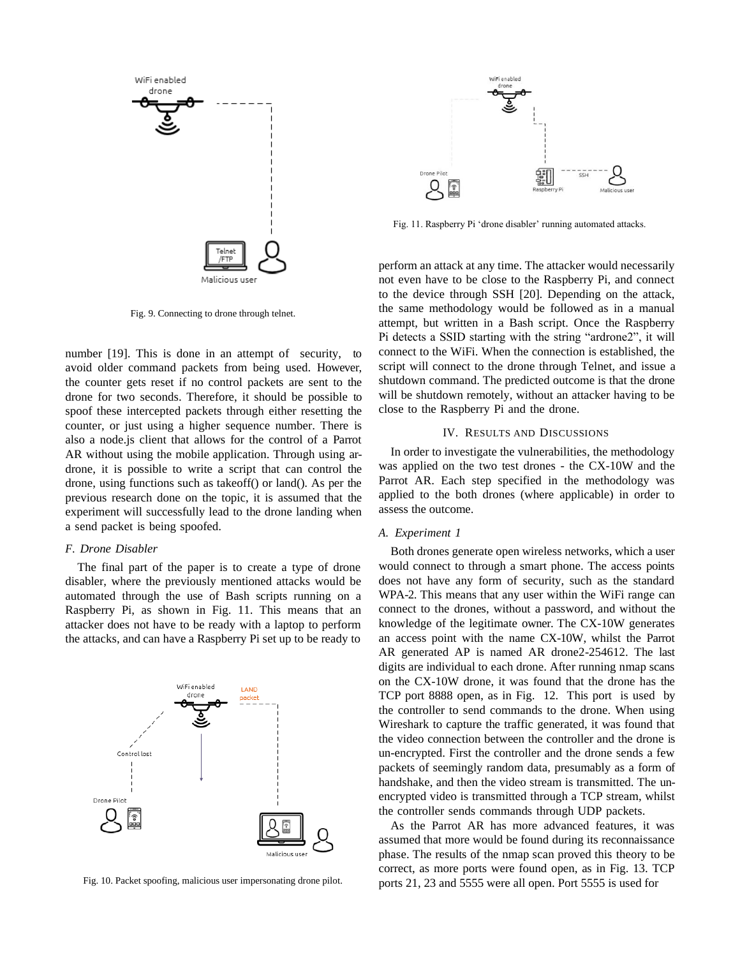

Fig. 9. Connecting to drone through telnet.

number [19]. This is done in an attempt of security, to avoid older command packets from being used. However, the counter gets reset if no control packets are sent to the drone for two seconds. Therefore, it should be possible to spoof these intercepted packets through either resetting the counter, or just using a higher sequence number. There is also a node.js client that allows for the control of a Parrot AR without using the mobile application. Through using ardrone, it is possible to write a script that can control the drone, using functions such as takeoff() or land(). As per the previous research done on the topic, it is assumed that the experiment will successfully lead to the drone landing when a send packet is being spoofed.

### *F. Drone Disabler*

The final part of the paper is to create a type of drone disabler, where the previously mentioned attacks would be automated through the use of Bash scripts running on a Raspberry Pi, as shown in Fig. 11. This means that an attacker does not have to be ready with a laptop to perform the attacks, and can have a Raspberry Pi set up to be ready to



Fig. 10. Packet spoofing, malicious user impersonating drone pilot.



Fig. 11. Raspberry Pi 'drone disabler' running automated attacks.

perform an attack at any time. The attacker would necessarily not even have to be close to the Raspberry Pi, and connect to the device through SSH [20]. Depending on the attack, the same methodology would be followed as in a manual attempt, but written in a Bash script. Once the Raspberry Pi detects a SSID starting with the string "ardrone2", it will connect to the WiFi. When the connection is established, the script will connect to the drone through Telnet, and issue a shutdown command. The predicted outcome is that the drone will be shutdown remotely, without an attacker having to be close to the Raspberry Pi and the drone.

### IV. RESULTS AND DISCUSSIONS

In order to investigate the vulnerabilities, the methodology was applied on the two test drones - the CX-10W and the Parrot AR. Each step specified in the methodology was applied to the both drones (where applicable) in order to assess the outcome.

# *A. Experiment 1*

Both drones generate open wireless networks, which a user would connect to through a smart phone. The access points does not have any form of security, such as the standard WPA-2. This means that any user within the WiFi range can connect to the drones, without a password, and without the knowledge of the legitimate owner. The CX-10W generates an access point with the name CX-10W, whilst the Parrot AR generated AP is named AR drone2-254612. The last digits are individual to each drone. After running nmap scans on the CX-10W drone, it was found that the drone has the TCP port 8888 open, as in Fig. 12. This port is used by the controller to send commands to the drone. When using Wireshark to capture the traffic generated, it was found that the video connection between the controller and the drone is un-encrypted. First the controller and the drone sends a few packets of seemingly random data, presumably as a form of handshake, and then the video stream is transmitted. The unencrypted video is transmitted through a TCP stream, whilst the controller sends commands through UDP packets.

As the Parrot AR has more advanced features, it was assumed that more would be found during its reconnaissance phase. The results of the nmap scan proved this theory to be correct, as more ports were found open, as in Fig. 13. TCP ports 21, 23 and 5555 were all open. Port 5555 is used for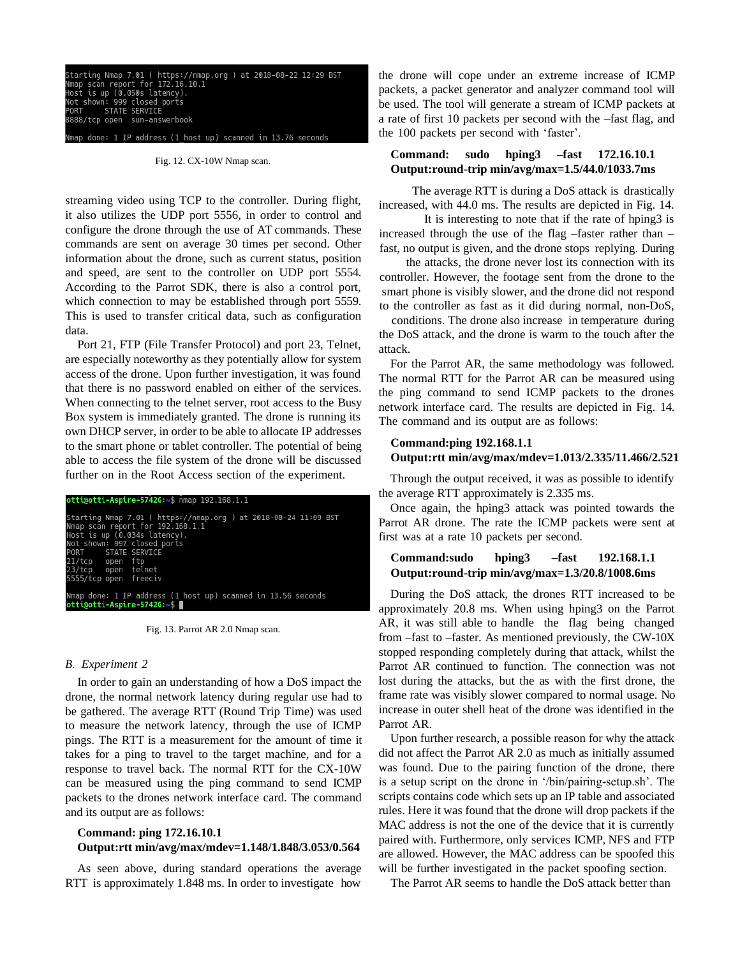1 IP address (1\_host up) scanned in 13.76 seconds

Fig. 12. CX-10W Nmap scan.

streaming video using TCP to the controller. During flight, it also utilizes the UDP port 5556, in order to control and configure the drone through the use of AT commands. These commands are sent on average 30 times per second. Other information about the drone, such as current status, position and speed, are sent to the controller on UDP port 5554. According to the Parrot SDK, there is also a control port, which connection to may be established through port 5559. This is used to transfer critical data, such as configuration data.

Port 21, FTP (File Transfer Protocol) and port 23, Telnet, are especially noteworthy as they potentially allow for system access of the drone. Upon further investigation, it was found that there is no password enabled on either of the services. When connecting to the telnet server, root access to the Busy Box system is immediately granted. The drone is running its own DHCP server, in order to be able to allocate IP addresses to the smart phone or tablet controller. The potential of being able to access the file system of the drone will be discussed further on in the Root Access section of the experiment.

#### otti@otti-Aspire-5742G:~\$ nmap 192.168.1.1 Starting Nmap 7.01 ( https://nmap.org ) at 2018-08-24 11:09 BST scan report for 192.168.1.1 most is up (0.034s latency).<br>Nost is up (0.034s latency).<br>ORT STATE SERVICE<br>ORT STATE SERVICE ftp<br>ftp<br>telnet<br>freeciv open tcp open 555/tcp open done: 1 IP address (1 host up) scanned in 13.56 seconds otti@otti-Aspire-5742G:~\$ █

Fig. 13. Parrot AR 2.0 Nmap scan.

### *B. Experiment 2*

In order to gain an understanding of how a DoS impact the drone, the normal network latency during regular use had to be gathered. The average RTT (Round Trip Time) was used to measure the network latency, through the use of ICMP pings. The RTT is a measurement for the amount of time it takes for a ping to travel to the target machine, and for a response to travel back. The normal RTT for the CX-10W can be measured using the ping command to send ICMP packets to the drones network interface card. The command and its output are as follows:

# **Command: ping 172.16.10.1 Output:rtt min/avg/max/mdev=1.148/1.848/3.053/0.564**

As seen above, during standard operations the average RTT is approximately 1.848 ms. In order to investigate how the drone will cope under an extreme increase of ICMP packets, a packet generator and analyzer command tool will be used. The tool will generate a stream of ICMP packets at a rate of first 10 packets per second with the –fast flag, and the 100 packets per second with 'faster'.

# **Command: sudo hping3 –fast 172.16.10.1 Output:round-trip min/avg/max=1.5/44.0/1033.7ms**

The average RTT is during a DoS attack is drastically increased, with 44.0 ms. The results are depicted in Fig. 14.

It is interesting to note that if the rate of hping3 is increased through the use of the flag –faster rather than – fast, no output is given, and the drone stops replying. During

the attacks, the drone never lost its connection with its controller. However, the footage sent from the drone to the smart phone is visibly slower, and the drone did not respond to the controller as fast as it did during normal, non-DoS,

conditions. The drone also increase in temperature during the DoS attack, and the drone is warm to the touch after the attack.

For the Parrot AR, the same methodology was followed. The normal RTT for the Parrot AR can be measured using the ping command to send ICMP packets to the drones network interface card. The results are depicted in Fig. 14. The command and its output are as follows:

# **Command:ping 192.168.1.1 Output:rtt min/avg/max/mdev=1.013/2.335/11.466/2.521**

Through the output received, it was as possible to identify the average RTT approximately is 2.335 ms.

Once again, the hping3 attack was pointed towards the Parrot AR drone. The rate the ICMP packets were sent at first was at a rate 10 packets per second.

# **Command:sudo hping3 –fast 192.168.1.1 Output:round-trip min/avg/max=1.3/20.8/1008.6ms**

During the DoS attack, the drones RTT increased to be approximately 20.8 ms. When using hping3 on the Parrot AR, it was still able to handle the flag being changed from –fast to –faster. As mentioned previously, the CW-10X stopped responding completely during that attack, whilst the Parrot AR continued to function. The connection was not lost during the attacks, but the as with the first drone, the frame rate was visibly slower compared to normal usage. No increase in outer shell heat of the drone was identified in the Parrot AR.

Upon further research, a possible reason for why the attack did not affect the Parrot AR 2.0 as much as initially assumed was found. Due to the pairing function of the drone, there is a setup script on the drone in '/bin/pairing-setup.sh'. The scripts contains code which sets up an IP table and associated rules. Here it was found that the drone will drop packets if the MAC address is not the one of the device that it is currently paired with. Furthermore, only services ICMP, NFS and FTP are allowed. However, the MAC address can be spoofed this will be further investigated in the packet spoofing section.

The Parrot AR seems to handle the DoS attack better than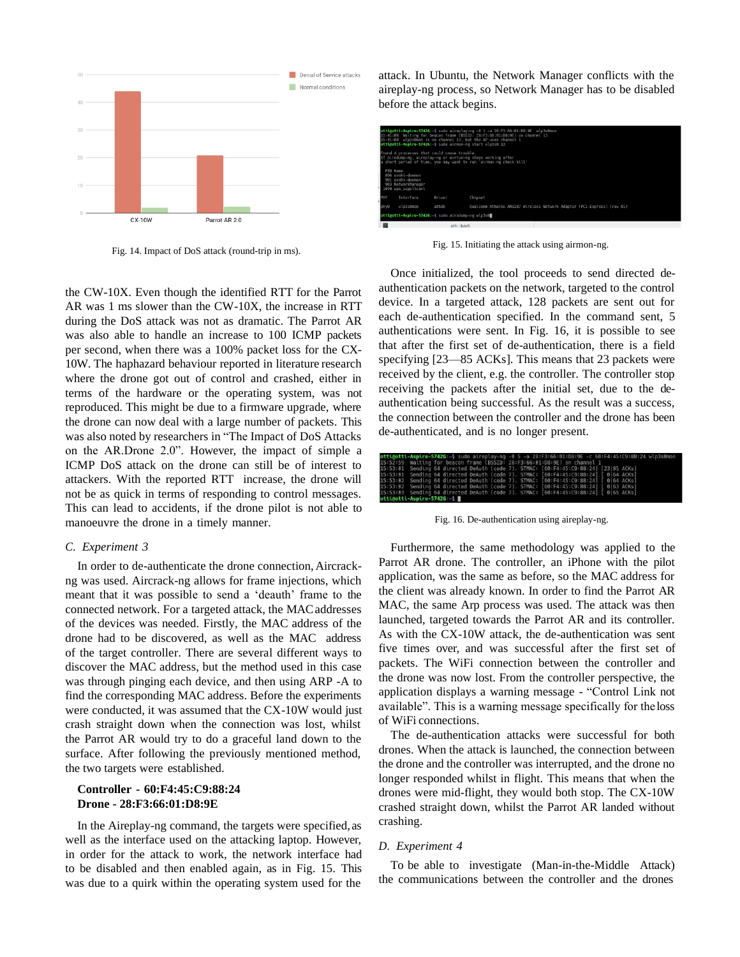

Fig. 14. Impact of DoS attack (round-trip in ms).

the CW-10X. Even though the identified RTT for the Parrot AR was 1 ms slower than the CW-10X, the increase in RTT during the DoS attack was not as dramatic. The Parrot AR was also able to handle an increase to 100 ICMP packets per second, when there was a 100% packet loss for the CX-10W. The haphazard behaviour reported in literature research where the drone got out of control and crashed, either in terms of the hardware or the operating system, was not reproduced. This might be due to a firmware upgrade, where the drone can now deal with a large number of packets. This was also noted by researchers in "The Impact of DoS Attacks on the AR.Drone 2.0". However, the impact of simple a ICMP DoS attack on the drone can still be of interest to attackers. With the reported RTT increase, the drone will not be as quick in terms of responding to control messages. This can lead to accidents, if the drone pilot is not able to manoeuvre the drone in a timely manner.

# *C. Experiment 3*

In order to de-authenticate the drone connection,Aircrackng was used. Aircrack-ng allows for frame injections, which meant that it was possible to send a 'deauth' frame to the connected network. For a targeted attack, the MACaddresses of the devices was needed. Firstly, the MAC address of the drone had to be discovered, as well as the MAC address of the target controller. There are several different ways to discover the MAC address, but the method used in this case was through pinging each device, and then using ARP -A to find the corresponding MAC address. Before the experiments were conducted, it was assumed that the CX-10W would just crash straight down when the connection was lost, whilst the Parrot AR would try to do a graceful land down to the surface. After following the previously mentioned method, the two targets were established.

# **Controller - 60:F4:45:C9:88:24 Drone - 28:F3:66:01:D8:9E**

In the Aireplay-ng command, the targets were specified, as well as the interface used on the attacking laptop. However, in order for the attack to work, the network interface had to be disabled and then enabled again, as in Fig. 15. This was due to a quirk within the operating system used for the

attack. In Ubuntu, the Network Manager conflicts with the aireplay-ng process, so Network Manager has to be disabled before the attack begins.

|     | otti@otti-Aspire-57426:~\$ sudo aireplay-ng -0 1 -a 28:F3:66:01:D8:9E wlp3s0mon<br>15:41:08 Waiting for beacon frame (BSSID: 28:F3:66:01:D8:9E) on channel 13<br>15:41:08 wlp3s0mon is on channel 13, but the AP uses channel 1<br>ottigotti-Aspire-5742G ~S sudo airmon-ng start wlp3s0 13 |                                                                                               |        |                                                  |  |  |  |  |
|-----|---------------------------------------------------------------------------------------------------------------------------------------------------------------------------------------------------------------------------------------------------------------------------------------------|-----------------------------------------------------------------------------------------------|--------|--------------------------------------------------|--|--|--|--|
|     | Found 4 processes that could cause trouble.<br>If airodump-ng, aireplay-ng or airtun-ng stops working after<br>a short period of time, you may want to run 'airmon-ng check kill'                                                                                                           |                                                                                               |        |                                                  |  |  |  |  |
|     |                                                                                                                                                                                                                                                                                             | PTD Name<br>896 avahi-daemon<br>901 avahi-daemon<br>903 NetworkManager<br>1070 wpa_supplicant |        |                                                  |  |  |  |  |
| PHY |                                                                                                                                                                                                                                                                                             | Interface                                                                                     | Driver | Chipset                                          |  |  |  |  |
|     | ath9k<br>Qualcomm Atheros AR9287 Wireless Network Adapter (PCI-Express) (rev 01)<br>wlp3s0mon<br>phy0                                                                                                                                                                                       |                                                                                               |        |                                                  |  |  |  |  |
|     |                                                                                                                                                                                                                                                                                             |                                                                                               |        | ottigotti-Aspire-5742G:~ sudo airodump-ng wlp3s0 |  |  |  |  |
|     |                                                                                                                                                                                                                                                                                             |                                                                                               |        | otti : bash                                      |  |  |  |  |

Fig. 15. Initiating the attack using airmon-ng.

Once initialized, the tool proceeds to send directed deauthentication packets on the network, targeted to the control device. In a targeted attack, 128 packets are sent out for each de-authentication specified. In the command sent, 5 authentications were sent. In Fig. 16, it is possible to see that after the first set of de-authentication, there is a field specifying [23—85 ACKs]. This means that 23 packets were received by the client, e.g. the controller. The controller stop receiving the packets after the initial set, due to the deauthentication being successful. As the result was a success, the connection between the controller and the drone has been de-authenticated, and is no longer present.

|                                                                                       |  |  |  |  |  |  | otti@otti-Aspire-5742G:~\$ sudo aireplay-ng -0 5 -a 28:F3:66:01:D8:9E -c 60:F4:45:C9:88:24 wlp3s0mon |  |
|---------------------------------------------------------------------------------------|--|--|--|--|--|--|------------------------------------------------------------------------------------------------------|--|
| 15:52:59 Waiting for beacon frame (BSSID: 28:F3:66:01:D8:9E) on channel 1             |  |  |  |  |  |  |                                                                                                      |  |
| 15:53:01 Sending 64 directed DeAuth (code 7), STMAC: [60:F4:45:C9:88:24] [23 85 ACKs] |  |  |  |  |  |  |                                                                                                      |  |
| 15:53:01 Sending 64 directed DeAuth (code 7). STMAC: [60:F4:45:C9:88:24] [ 0 64 ACKs] |  |  |  |  |  |  |                                                                                                      |  |
| 15:53:02 Sending 64 directed DeAuth (code 7). STMAC: [60:F4:45:C9:88:24] [ 0 64 ACKs] |  |  |  |  |  |  |                                                                                                      |  |
| 15:53:02 Sending 64 directed DeAuth (code 7), STMAC: [60:F4:45:C9:88:24] [ 0 63 ACKs] |  |  |  |  |  |  |                                                                                                      |  |
| 15:53:03 Sending 64 directed DeAuth (code 7), STMAC: [60:F4:45:C9:88:24] [ 0 65 ACKs] |  |  |  |  |  |  |                                                                                                      |  |
| $otti@otti-Asnire-57426 =$                                                            |  |  |  |  |  |  |                                                                                                      |  |

Fig. 16. De-authentication using aireplay-ng.

Furthermore, the same methodology was applied to the Parrot AR drone. The controller, an iPhone with the pilot application, was the same as before, so the MAC address for the client was already known. In order to find the Parrot AR MAC, the same Arp process was used. The attack was then launched, targeted towards the Parrot AR and its controller. As with the CX-10W attack, the de-authentication was sent five times over, and was successful after the first set of packets. The WiFi connection between the controller and the drone was now lost. From the controller perspective, the application displays a warning message - "Control Link not available". This is a warning message specifically for the loss of WiFi connections.

The de-authentication attacks were successful for both drones. When the attack is launched, the connection between the drone and the controller was interrupted, and the drone no longer responded whilst in flight. This means that when the drones were mid-flight, they would both stop. The CX-10W crashed straight down, whilst the Parrot AR landed without crashing.

# *D. Experiment 4*

To be able to investigate (Man-in-the-Middle Attack) the communications between the controller and the drones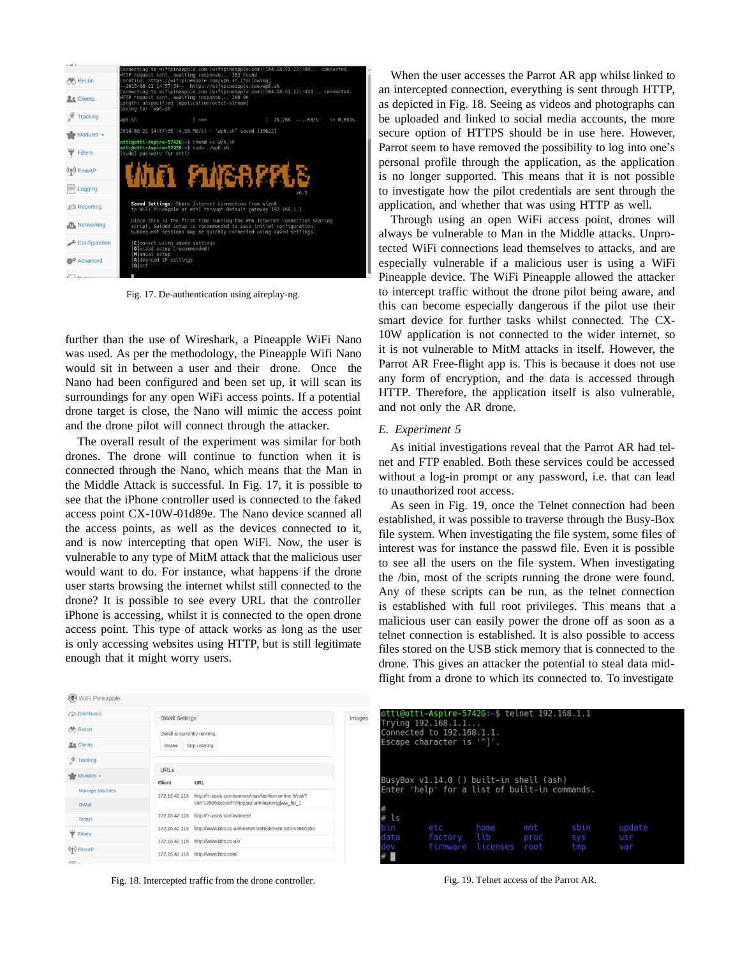

Fig. 17. De-authentication using aireplay-ng.

further than the use of Wireshark, a Pineapple WiFi Nano was used. As per the methodology, the Pineapple Wifi Nano would sit in between a user and their drone. Once the Nano had been configured and been set up, it will scan its surroundings for any open WiFi access points. If a potential drone target is close, the Nano will mimic the access point and the drone pilot will connect through the attacker.

The overall result of the experiment was similar for both drones. The drone will continue to function when it is connected through the Nano, which means that the Man in the Middle Attack is successful. In Fig. 17, it is possible to see that the iPhone controller used is connected to the faked access point CX-10W-01d89e. The Nano device scanned all the access points, as well as the devices connected to it, and is now intercepting that open WiFi. Now, the user is vulnerable to any type of MitM attack that the malicious user would want to do. For instance, what happens if the drone user starts browsing the internet whilst still connected to the drone? It is possible to see every URL that the controller iPhone is accessing, whilst it is connected to the open drone access point. This type of attack works as long as the user is only accessing websites using HTTP, but is still legitimate enough that it might worry users.

WiFi Pineapple

When the user accesses the Parrot AR app whilst linked to an intercepted connection, everything is sent through HTTP, as depicted in Fig. 18. Seeing as videos and photographs can be uploaded and linked to social media accounts, the more secure option of HTTPS should be in use here. However, Parrot seem to have removed the possibility to log into one's personal profile through the application, as the application is no longer supported. This means that it is not possible to investigate how the pilot credentials are sent through the application, and whether that was using HTTP as well.

Through using an open WiFi access point, drones will always be vulnerable to Man in the Middle attacks. Unprotected WiFi connections lead themselves to attacks, and are especially vulnerable if a malicious user is using a WiFi Pineapple device. The WiFi Pineapple allowed the attacker to intercept traffic without the drone pilot being aware, and this can become especially dangerous if the pilot use their smart device for further tasks whilst connected. The CX-10W application is not connected to the wider internet, so it is not vulnerable to MitM attacks in itself. However, the Parrot AR Free-flight app is. This is because it does not use any form of encryption, and the data is accessed through HTTP. Therefore, the application itself is also vulnerable, and not only the AR drone.

# *E. Experiment 5*

As initial investigations reveal that the Parrot AR had telnet and FTP enabled. Both these services could be accessed without a log-in prompt or any password, i.e. that can lead to unauthorized root access.

As seen in Fig. 19, once the Telnet connection had been established, it was possible to traverse through the Busy-Box file system. When investigating the file system, some files of interest was for instance the passwd file. Even it is possible to see all the users on the file system. When investigating the /bin, most of the scripts running the drone were found. Any of these scripts can be run, as the telnet connection is established with full root privileges. This means that a malicious user can easily power the drone off as soon as a telnet connection is established. It is also possible to access files stored on the USB stick memory that is connected to the drone. This gives an attacker the potential to steal data midflight from a drone to which its connected to. To investigate

| a Dashboard              | <b>DWall Settings</b>       |                                                                     | Images |      | otti@otti-Aspire-5742G:~\$ telnet 192.168.1.1   |                        |      |      |        |  |
|--------------------------|-----------------------------|---------------------------------------------------------------------|--------|------|-------------------------------------------------|------------------------|------|------|--------|--|
| A Recon                  | DWall is currently running. |                                                                     |        |      | Trying 192.168.1.1<br>Connected to 192.168.1.1. |                        |      |      |        |  |
| <b>Re</b> Clients        | Disable Stop Listening      |                                                                     |        |      | Escape character is '^]'.                       |                        |      |      |        |  |
| <b><i>O</i></b> Tracking |                             |                                                                     |        |      |                                                 |                        |      |      |        |  |
| $Modules -$              | URLS                        |                                                                     |        |      |                                                 |                        |      |      |        |  |
|                          | Client                      | URL                                                                 |        |      | BusyBox v1.14.0 () built-in shell (ash)         |                        |      |      |        |  |
| <b>Manage Modules</b>    | 172.16.42.118               | http://m.asos.com/women/ctas/fashion-online-9/cat/?                 |        |      | Enter 'help' for a list of built-in commands.   |                        |      |      |        |  |
| <b>DWall</b>             |                             | cid=13506&ctaref=shopjautumnlayering ww hp 1                        |        |      |                                                 |                        |      |      |        |  |
| <b>Status</b>            |                             | 172.16.42.118 http://m.asos.com/women/                              |        | ls   |                                                 |                        |      |      |        |  |
| Filters                  |                             | 172.16.42.118 http://www.bbc.co.uk/news/entertainment-arts-45666350 |        |      | etc                                             | home                   | mnt  | sbin | update |  |
|                          |                             | 172.16.42.118 http://www.bbc.co.uk/                                 |        | data | factory                                         | lib                    | proc | sys  | usr    |  |
| $(\phi)$ PineAP          |                             | 172.16.42.118 http://www.bbc.com/                                   |        | dev  |                                                 | firmware licenses root |      | tmp  | var    |  |
| proven in                |                             |                                                                     |        |      |                                                 |                        |      |      |        |  |

Fig. 18. Intercepted traffic from the drone controller.

Fig. 19. Telnet access of the Parrot AR.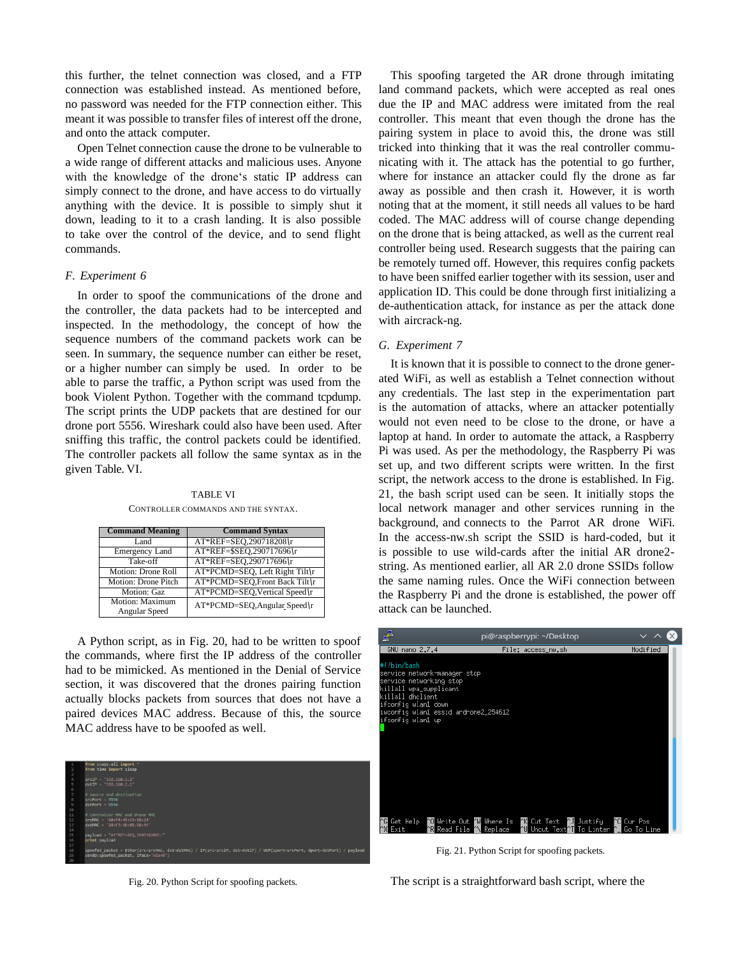this further, the telnet connection was closed, and a FTP connection was established instead. As mentioned before, no password was needed for the FTP connection either. This meant it was possible to transfer files of interest off the drone, and onto the attack computer.

Open Telnet connection cause the drone to be vulnerable to a wide range of different attacks and malicious uses. Anyone with the knowledge of the drone's static IP address can simply connect to the drone, and have access to do virtually anything with the device. It is possible to simply shut it down, leading to it to a crash landing. It is also possible to take over the control of the device, and to send flight commands.

### *F. Experiment 6*

In order to spoof the communications of the drone and the controller, the data packets had to be intercepted and inspected. In the methodology, the concept of how the sequence numbers of the command packets work can be seen. In summary, the sequence number can either be reset, or a higher number can simply be used. In order to be able to parse the traffic, a Python script was used from the book Violent Python. Together with the command tcpdump. The script prints the UDP packets that are destined for our drone port 5556. Wireshark could also have been used. After sniffing this traffic, the control packets could be identified. The controller packets all follow the same syntax as in the given Table. VI.

TABLE VI

CONTROLLER COMMANDS AND THE SYNTAX.

| <b>Command Meaning</b>           | <b>Command Syntax</b>          |
|----------------------------------|--------------------------------|
| Land                             | AT*REF=SEO,290718208\r         |
| Emergency Land                   | AT*REF=\$SEO,290717696\r       |
| Take-off                         | AT*REF=SEO,290717696\r         |
| Motion: Drone Roll               | AT*PCMD=SEQ, Left Right Tilt\r |
| Motion: Drone Pitch              | AT*PCMD=SEQ, Front Back Tilt\r |
| Motion: Gaz                      | AT*PCMD=SEQ, Vertical Speed\r  |
| Motion: Maximum<br>Angular Speed | AT*PCMD=SEQ, Angular Speed\r   |

A Python script, as in Fig. 20, had to be written to spoof the commands, where first the IP address of the controller had to be mimicked. As mentioned in the Denial of Service section, it was discovered that the drones pairing function actually blocks packets from sources that does not have a paired devices MAC address. Because of this, the source MAC address have to be spoofed as well.



Fig. 20. Python Script for spoofing packets.

This spoofing targeted the AR drone through imitating land command packets, which were accepted as real ones due the IP and MAC address were imitated from the real controller. This meant that even though the drone has the pairing system in place to avoid this, the drone was still tricked into thinking that it was the real controller communicating with it. The attack has the potential to go further, where for instance an attacker could fly the drone as far away as possible and then crash it. However, it is worth noting that at the moment, it still needs all values to be hard coded. The MAC address will of course change depending on the drone that is being attacked, as well as the current real controller being used. Research suggests that the pairing can be remotely turned off. However, this requires config packets to have been sniffed earlier together with its session, user and application ID. This could be done through first initializing a de-authentication attack, for instance as per the attack done with aircrack-ng.

# *G. Experiment 7*

It is known that it is possible to connect to the drone generated WiFi, as well as establish a Telnet connection without any credentials. The last step in the experimentation part is the automation of attacks, where an attacker potentially would not even need to be close to the drone, or have a laptop at hand. In order to automate the attack, a Raspberry Pi was used. As per the methodology, the Raspberry Pi was set up, and two different scripts were written. In the first script, the network access to the drone is established. In Fig. 21, the bash script used can be seen. It initially stops the local network manager and other services running in the background, and connects to the Parrot AR drone WiFi. In the access-nw.sh script the SSID is hard-coded, but it is possible to use wild-cards after the initial AR drone2 string. As mentioned earlier, all AR 2.0 drone SSIDs follow the same naming rules. Once the WiFi connection between the Raspberry Pi and the drone is established, the power off attack can be launched.



Fig. 21. Python Script for spoofing packets.

The script is a straightforward bash script, where the